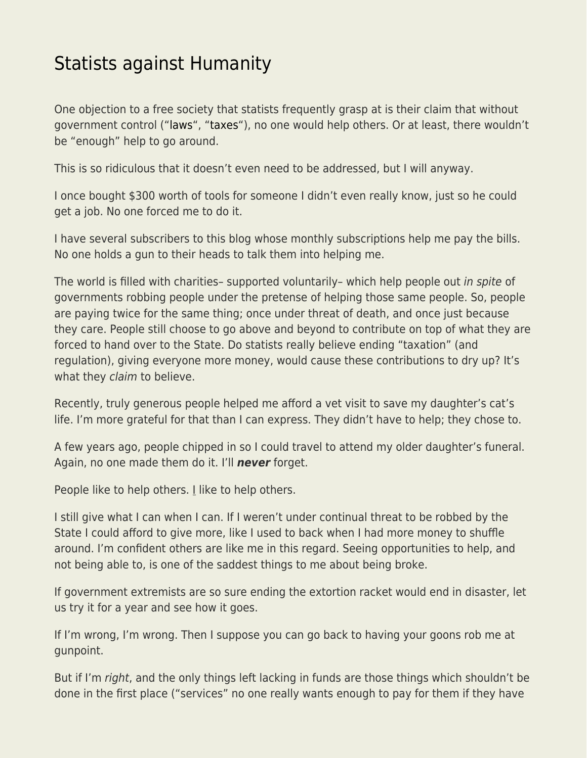## [Statists against Humanity](https://everything-voluntary.com/statists-against-humanity)

One objection to a free society that statists frequently grasp at is their claim that without government control (["laws](https://www.kentforliberty.com/counterfeitlaw.html)", ["taxes"](https://www.kentforliberty.com/taxation.html)), no one would help others. Or at least, there wouldn't be "enough" help to go around.

This is so ridiculous that it doesn't even need to be addressed, but I will anyway.

I once bought \$300 worth of tools for someone I didn't even really know, just so he could get a job. No one forced me to do it.

I have several subscribers to this blog whose monthly subscriptions help me pay the bills. No one holds a gun to their heads to talk them into helping me.

The world is filled with charities– supported voluntarily– which help people out in spite of governments robbing people under the pretense of helping those same people. So, people are paying twice for the same thing; once under threat of death, and once just because they care. People still choose to go above and beyond to contribute on top of what they are forced to hand over to the State. Do statists really believe ending "taxation" (and regulation), giving everyone more money, would cause these contributions to dry up? It's what they claim to believe.

Recently, truly generous people helped me afford a vet visit to save my daughter's cat's life. I'm more grateful for that than I can express. They didn't have to help; they chose to.

A few years ago, people chipped in so I could travel to attend my older daughter's funeral. Again, no one made them do it. I'll *never* forget.

People like to help others. I like to help others.

I still give what I can when I can. If I weren't under continual threat to be robbed by the State I could afford to give more, like I used to back when I had more money to shuffle around. I'm confident others are like me in this regard. Seeing opportunities to help, and not being able to, is one of the saddest things to me about being broke.

If government extremists are so sure ending the extortion racket would end in disaster, let us try it for a year and see how it goes.

If I'm wrong, I'm wrong. Then I suppose you can go back to having your goons rob me at gunpoint.

But if I'm right, and the only things left lacking in funds are those things which shouldn't be done in the first place ("services" no one really wants enough to pay for them if they have